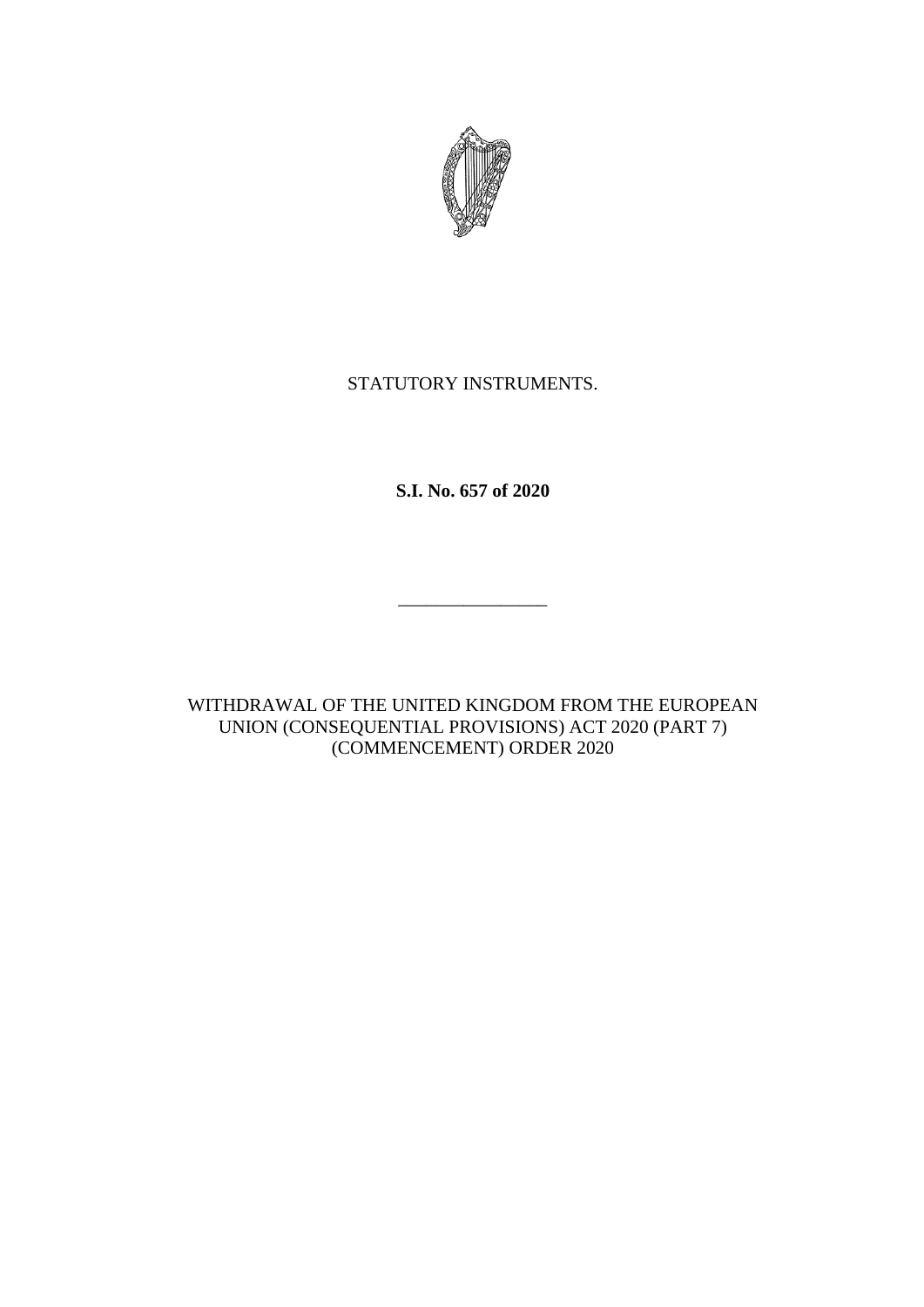

## STATUTORY INSTRUMENTS.

**S.I. No. 657 of 2020**

\_\_\_\_\_\_\_\_\_\_\_\_\_\_\_\_

WITHDRAWAL OF THE UNITED KINGDOM FROM THE EUROPEAN UNION (CONSEQUENTIAL PROVISIONS) ACT 2020 (PART 7) (COMMENCEMENT) ORDER 2020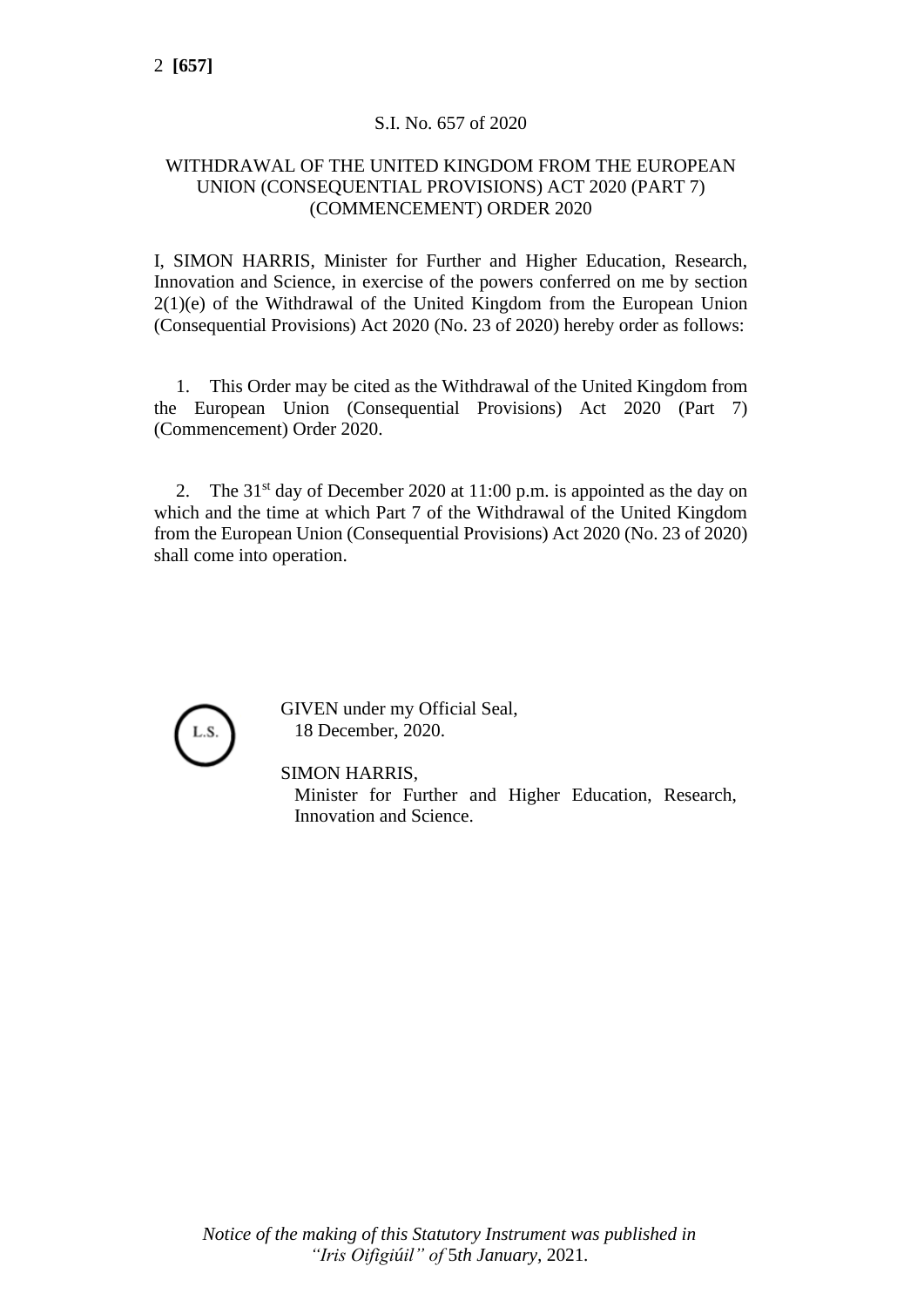## S.I. No. 657 of 2020

## WITHDRAWAL OF THE UNITED KINGDOM FROM THE EUROPEAN UNION (CONSEQUENTIAL PROVISIONS) ACT 2020 (PART 7) (COMMENCEMENT) ORDER 2020

I, SIMON HARRIS, Minister for Further and Higher Education, Research, Innovation and Science, in exercise of the powers conferred on me by section 2(1)(e) of the Withdrawal of the United Kingdom from the European Union (Consequential Provisions) Act 2020 (No. 23 of 2020) hereby order as follows:

1. This Order may be cited as the Withdrawal of the United Kingdom from the European Union (Consequential Provisions) Act 2020 (Part 7) (Commencement) Order 2020.

2. The  $31<sup>st</sup>$  day of December 2020 at 11:00 p.m. is appointed as the day on which and the time at which Part 7 of the Withdrawal of the United Kingdom from the European Union (Consequential Provisions) Act 2020 (No. 23 of 2020) shall come into operation.



GIVEN under my Official Seal, 18 December, 2020.

SIMON HARRIS,

Minister for Further and Higher Education, Research, Innovation and Science.